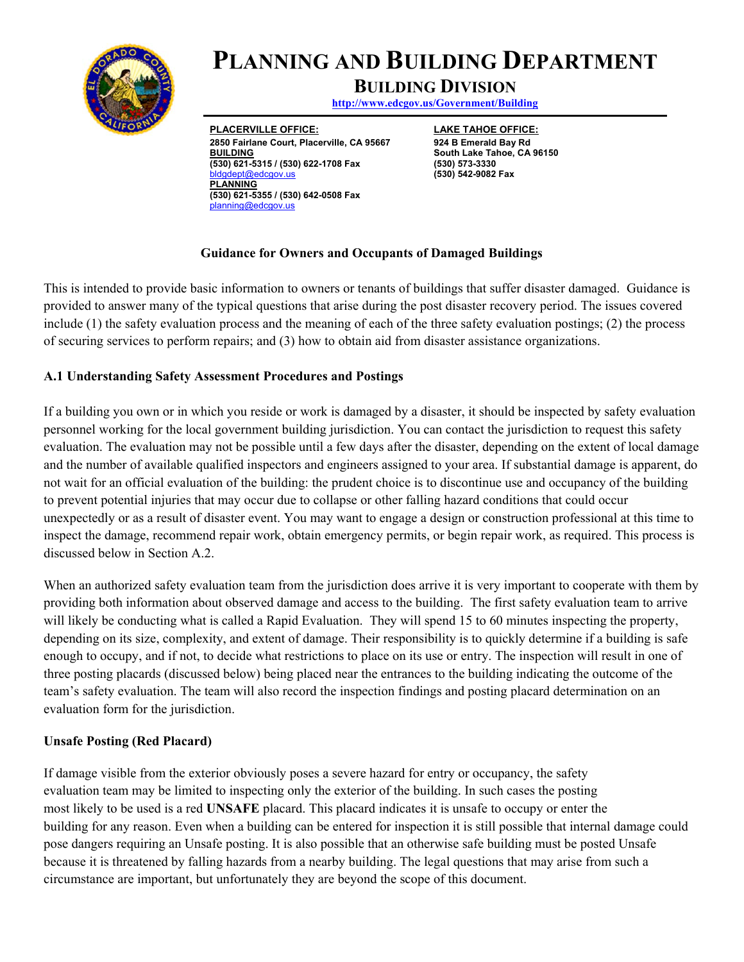

# **PLANNING AND BUILDING DEPARTMENT**

# **BUILDING DIVISION**

**http://www.edcgov.us/Government/Building** 

**PLACERVILLE OFFICE: 2850 Fairlane Court, Placerville, CA 95667 BUILDING (530) 621-5315 / (530) 622-1708 Fax**  ept@edcgov.us **PLANNING (530) 621-5355 / (530) 642-0508 Fax**  planning@edcgov.us

**LAKE TAHOE OFFICE: 924 B Emerald Bay Rd South Lake Tahoe, CA 96150 (530) 573-3330 (530) 542-9082 Fax** 

#### **Guidance for Owners and Occupants of Damaged Buildings**

This is intended to provide basic information to owners or tenants of buildings that suffer disaster damaged. Guidance is provided to answer many of the typical questions that arise during the post disaster recovery period. The issues covered include (1) the safety evaluation process and the meaning of each of the three safety evaluation postings; (2) the process of securing services to perform repairs; and (3) how to obtain aid from disaster assistance organizations.

#### **A.1 Understanding Safety Assessment Procedures and Postings**

If a building you own or in which you reside or work is damaged by a disaster, it should be inspected by safety evaluation personnel working for the local government building jurisdiction. You can contact the jurisdiction to request this safety evaluation. The evaluation may not be possible until a few days after the disaster, depending on the extent of local damage and the number of available qualified inspectors and engineers assigned to your area. If substantial damage is apparent, do not wait for an official evaluation of the building: the prudent choice is to discontinue use and occupancy of the building to prevent potential injuries that may occur due to collapse or other falling hazard conditions that could occur unexpectedly or as a result of disaster event. You may want to engage a design or construction professional at this time to inspect the damage, recommend repair work, obtain emergency permits, or begin repair work, as required. This process is discussed below in Section A.2.

When an authorized safety evaluation team from the jurisdiction does arrive it is very important to cooperate with them by providing both information about observed damage and access to the building. The first safety evaluation team to arrive will likely be conducting what is called a Rapid Evaluation. They will spend 15 to 60 minutes inspecting the property, depending on its size, complexity, and extent of damage. Their responsibility is to quickly determine if a building is safe enough to occupy, and if not, to decide what restrictions to place on its use or entry. The inspection will result in one of three posting placards (discussed below) being placed near the entrances to the building indicating the outcome of the team's safety evaluation. The team will also record the inspection findings and posting placard determination on an evaluation form for the jurisdiction.

#### **Unsafe Posting (Red Placard)**

If damage visible from the exterior obviously poses a severe hazard for entry or occupancy, the safety evaluation team may be limited to inspecting only the exterior of the building. In such cases the posting most likely to be used is a red **UNSAFE** placard. This placard indicates it is unsafe to occupy or enter the building for any reason. Even when a building can be entered for inspection it is still possible that internal damage could pose dangers requiring an Unsafe posting. It is also possible that an otherwise safe building must be posted Unsafe because it is threatened by falling hazards from a nearby building. The legal questions that may arise from such a circumstance are important, but unfortunately they are beyond the scope of this document.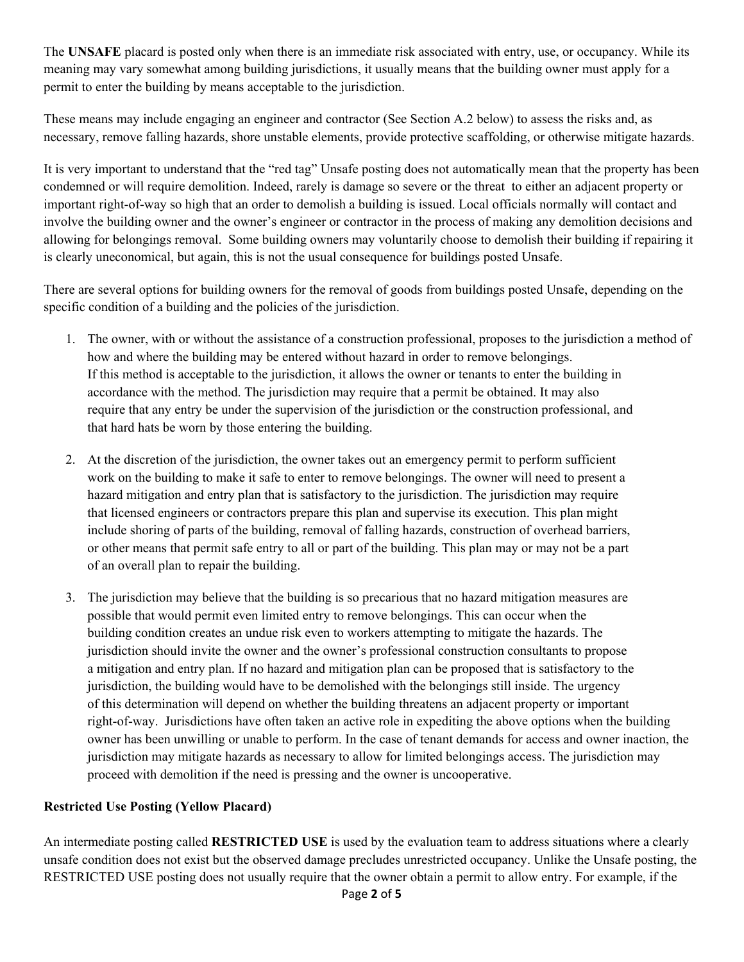The **UNSAFE** placard is posted only when there is an immediate risk associated with entry, use, or occupancy. While its meaning may vary somewhat among building jurisdictions, it usually means that the building owner must apply for a permit to enter the building by means acceptable to the jurisdiction.

These means may include engaging an engineer and contractor (See Section A.2 below) to assess the risks and, as necessary, remove falling hazards, shore unstable elements, provide protective scaffolding, or otherwise mitigate hazards.

It is very important to understand that the "red tag" Unsafe posting does not automatically mean that the property has been condemned or will require demolition. Indeed, rarely is damage so severe or the threat to either an adjacent property or important right-of-way so high that an order to demolish a building is issued. Local officials normally will contact and involve the building owner and the owner's engineer or contractor in the process of making any demolition decisions and allowing for belongings removal. Some building owners may voluntarily choose to demolish their building if repairing it is clearly uneconomical, but again, this is not the usual consequence for buildings posted Unsafe.

There are several options for building owners for the removal of goods from buildings posted Unsafe, depending on the specific condition of a building and the policies of the jurisdiction.

- 1. The owner, with or without the assistance of a construction professional, proposes to the jurisdiction a method of how and where the building may be entered without hazard in order to remove belongings. If this method is acceptable to the jurisdiction, it allows the owner or tenants to enter the building in accordance with the method. The jurisdiction may require that a permit be obtained. It may also require that any entry be under the supervision of the jurisdiction or the construction professional, and that hard hats be worn by those entering the building.
- 2. At the discretion of the jurisdiction, the owner takes out an emergency permit to perform sufficient work on the building to make it safe to enter to remove belongings. The owner will need to present a hazard mitigation and entry plan that is satisfactory to the jurisdiction. The jurisdiction may require that licensed engineers or contractors prepare this plan and supervise its execution. This plan might include shoring of parts of the building, removal of falling hazards, construction of overhead barriers, or other means that permit safe entry to all or part of the building. This plan may or may not be a part of an overall plan to repair the building.
- 3. The jurisdiction may believe that the building is so precarious that no hazard mitigation measures are possible that would permit even limited entry to remove belongings. This can occur when the building condition creates an undue risk even to workers attempting to mitigate the hazards. The jurisdiction should invite the owner and the owner's professional construction consultants to propose a mitigation and entry plan. If no hazard and mitigation plan can be proposed that is satisfactory to the jurisdiction, the building would have to be demolished with the belongings still inside. The urgency of this determination will depend on whether the building threatens an adjacent property or important right-of-way. Jurisdictions have often taken an active role in expediting the above options when the building owner has been unwilling or unable to perform. In the case of tenant demands for access and owner inaction, the jurisdiction may mitigate hazards as necessary to allow for limited belongings access. The jurisdiction may proceed with demolition if the need is pressing and the owner is uncooperative.

# **Restricted Use Posting (Yellow Placard)**

An intermediate posting called **RESTRICTED USE** is used by the evaluation team to address situations where a clearly unsafe condition does not exist but the observed damage precludes unrestricted occupancy. Unlike the Unsafe posting, the RESTRICTED USE posting does not usually require that the owner obtain a permit to allow entry. For example, if the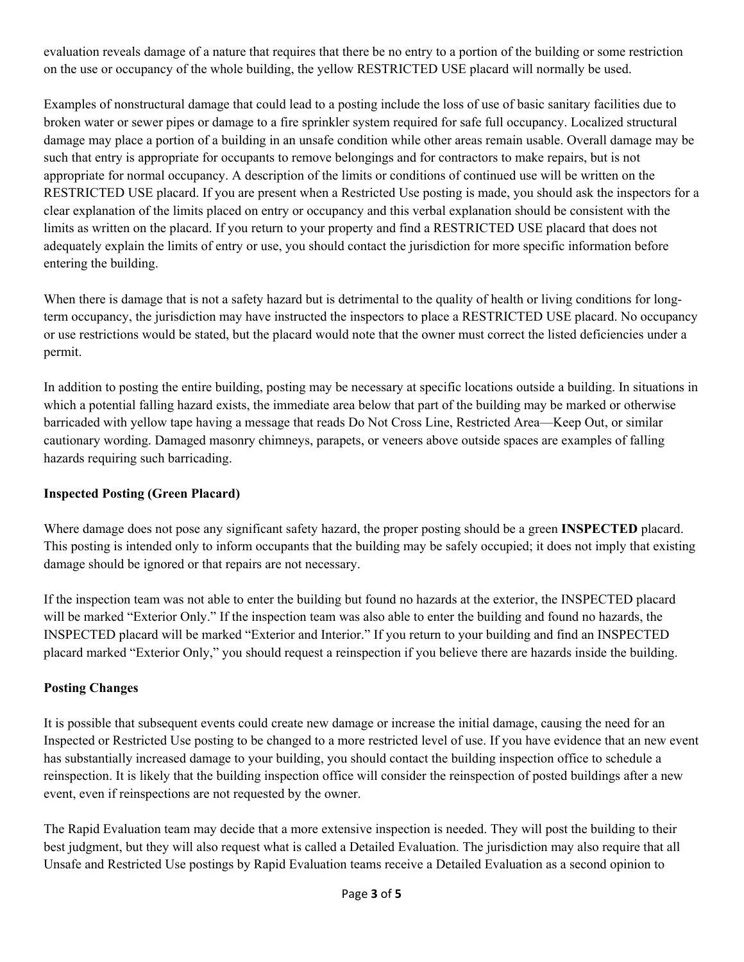evaluation reveals damage of a nature that requires that there be no entry to a portion of the building or some restriction on the use or occupancy of the whole building, the yellow RESTRICTED USE placard will normally be used.

Examples of nonstructural damage that could lead to a posting include the loss of use of basic sanitary facilities due to broken water or sewer pipes or damage to a fire sprinkler system required for safe full occupancy. Localized structural damage may place a portion of a building in an unsafe condition while other areas remain usable. Overall damage may be such that entry is appropriate for occupants to remove belongings and for contractors to make repairs, but is not appropriate for normal occupancy. A description of the limits or conditions of continued use will be written on the RESTRICTED USE placard. If you are present when a Restricted Use posting is made, you should ask the inspectors for a clear explanation of the limits placed on entry or occupancy and this verbal explanation should be consistent with the limits as written on the placard. If you return to your property and find a RESTRICTED USE placard that does not adequately explain the limits of entry or use, you should contact the jurisdiction for more specific information before entering the building.

When there is damage that is not a safety hazard but is detrimental to the quality of health or living conditions for longterm occupancy, the jurisdiction may have instructed the inspectors to place a RESTRICTED USE placard. No occupancy or use restrictions would be stated, but the placard would note that the owner must correct the listed deficiencies under a permit.

In addition to posting the entire building, posting may be necessary at specific locations outside a building. In situations in which a potential falling hazard exists, the immediate area below that part of the building may be marked or otherwise barricaded with yellow tape having a message that reads Do Not Cross Line, Restricted Area—Keep Out, or similar cautionary wording. Damaged masonry chimneys, parapets, or veneers above outside spaces are examples of falling hazards requiring such barricading.

# **Inspected Posting (Green Placard)**

Where damage does not pose any significant safety hazard, the proper posting should be a green **INSPECTED** placard. This posting is intended only to inform occupants that the building may be safely occupied; it does not imply that existing damage should be ignored or that repairs are not necessary.

If the inspection team was not able to enter the building but found no hazards at the exterior, the INSPECTED placard will be marked "Exterior Only." If the inspection team was also able to enter the building and found no hazards, the INSPECTED placard will be marked "Exterior and Interior." If you return to your building and find an INSPECTED placard marked "Exterior Only," you should request a reinspection if you believe there are hazards inside the building.

# **Posting Changes**

It is possible that subsequent events could create new damage or increase the initial damage, causing the need for an Inspected or Restricted Use posting to be changed to a more restricted level of use. If you have evidence that an new event has substantially increased damage to your building, you should contact the building inspection office to schedule a reinspection. It is likely that the building inspection office will consider the reinspection of posted buildings after a new event, even if reinspections are not requested by the owner.

The Rapid Evaluation team may decide that a more extensive inspection is needed. They will post the building to their best judgment, but they will also request what is called a Detailed Evaluation. The jurisdiction may also require that all Unsafe and Restricted Use postings by Rapid Evaluation teams receive a Detailed Evaluation as a second opinion to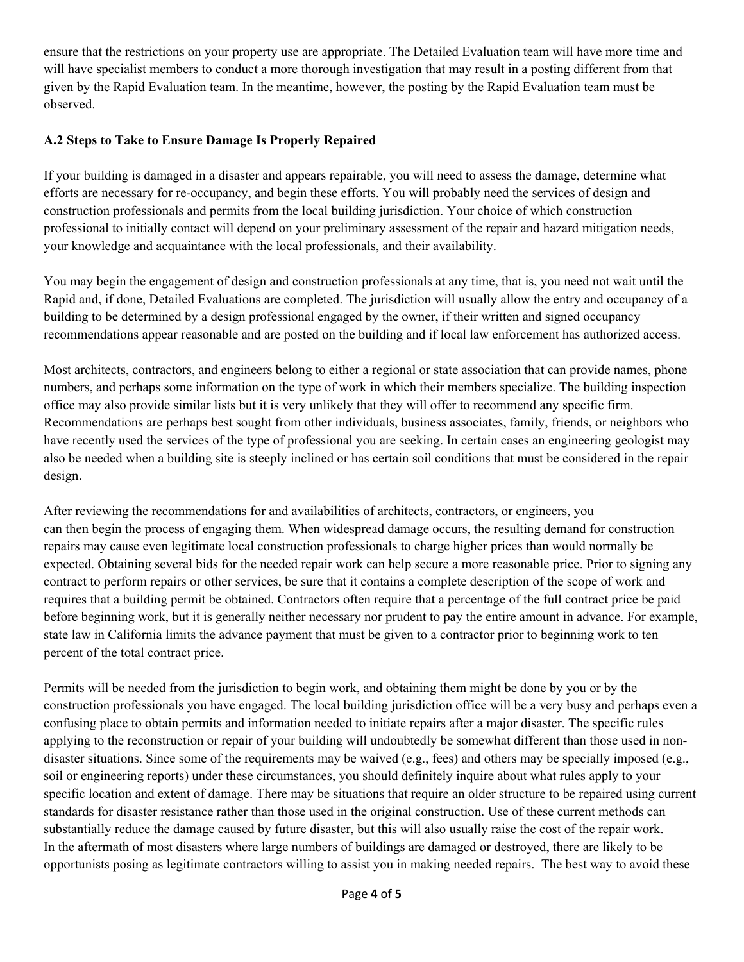ensure that the restrictions on your property use are appropriate. The Detailed Evaluation team will have more time and will have specialist members to conduct a more thorough investigation that may result in a posting different from that given by the Rapid Evaluation team. In the meantime, however, the posting by the Rapid Evaluation team must be observed.

# **A.2 Steps to Take to Ensure Damage Is Properly Repaired**

If your building is damaged in a disaster and appears repairable, you will need to assess the damage, determine what efforts are necessary for re-occupancy, and begin these efforts. You will probably need the services of design and construction professionals and permits from the local building jurisdiction. Your choice of which construction professional to initially contact will depend on your preliminary assessment of the repair and hazard mitigation needs, your knowledge and acquaintance with the local professionals, and their availability.

You may begin the engagement of design and construction professionals at any time, that is, you need not wait until the Rapid and, if done, Detailed Evaluations are completed. The jurisdiction will usually allow the entry and occupancy of a building to be determined by a design professional engaged by the owner, if their written and signed occupancy recommendations appear reasonable and are posted on the building and if local law enforcement has authorized access.

Most architects, contractors, and engineers belong to either a regional or state association that can provide names, phone numbers, and perhaps some information on the type of work in which their members specialize. The building inspection office may also provide similar lists but it is very unlikely that they will offer to recommend any specific firm. Recommendations are perhaps best sought from other individuals, business associates, family, friends, or neighbors who have recently used the services of the type of professional you are seeking. In certain cases an engineering geologist may also be needed when a building site is steeply inclined or has certain soil conditions that must be considered in the repair design.

After reviewing the recommendations for and availabilities of architects, contractors, or engineers, you can then begin the process of engaging them. When widespread damage occurs, the resulting demand for construction repairs may cause even legitimate local construction professionals to charge higher prices than would normally be expected. Obtaining several bids for the needed repair work can help secure a more reasonable price. Prior to signing any contract to perform repairs or other services, be sure that it contains a complete description of the scope of work and requires that a building permit be obtained. Contractors often require that a percentage of the full contract price be paid before beginning work, but it is generally neither necessary nor prudent to pay the entire amount in advance. For example, state law in California limits the advance payment that must be given to a contractor prior to beginning work to ten percent of the total contract price.

Permits will be needed from the jurisdiction to begin work, and obtaining them might be done by you or by the construction professionals you have engaged. The local building jurisdiction office will be a very busy and perhaps even a confusing place to obtain permits and information needed to initiate repairs after a major disaster. The specific rules applying to the reconstruction or repair of your building will undoubtedly be somewhat different than those used in nondisaster situations. Since some of the requirements may be waived (e.g., fees) and others may be specially imposed (e.g., soil or engineering reports) under these circumstances, you should definitely inquire about what rules apply to your specific location and extent of damage. There may be situations that require an older structure to be repaired using current standards for disaster resistance rather than those used in the original construction. Use of these current methods can substantially reduce the damage caused by future disaster, but this will also usually raise the cost of the repair work. In the aftermath of most disasters where large numbers of buildings are damaged or destroyed, there are likely to be opportunists posing as legitimate contractors willing to assist you in making needed repairs. The best way to avoid these